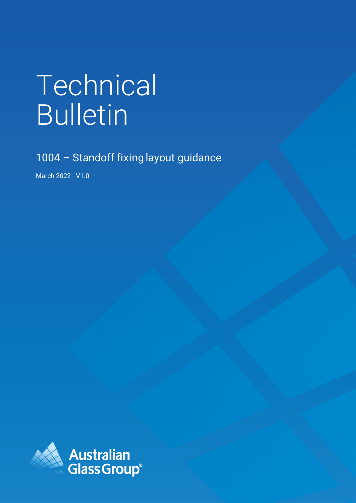# Technical Bulletin

1004 - Standoff fixing layout guidance

March 2022 - V1.0

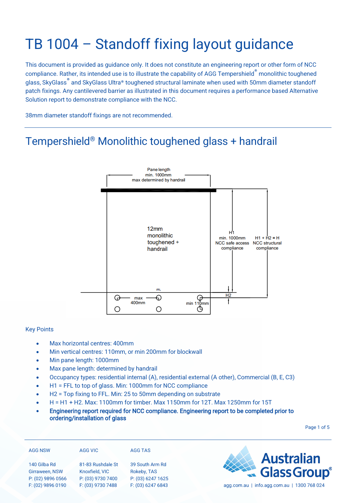# TB 1004 – Standoff fixing layout guidance

This document is provided as guidance only. It does not constitute an engineering report or other form of NCC compliance. Rather, its intended use is to illustrate the capability of AGG Tempershield® monolithic toughened glass, SkyGlass® and SkyGlass Ultra® toughened structural laminate when used with 50mm diameter standoff patch fixings. Any cantilevered barrier as illustrated in this document requires a performance based Alternative Solution report to demonstrate compliance with the NCC.

38mm diameter standoff fixings are not recommended.

## Tempershield® Monolithic toughened glass + handrail



#### Key Points

- Max horizontal centres: 400mm
- Min vertical centres: 110mm, or min 200mm for blockwall
- Min pane length: 1000mm
- Max pane length: determined by handrail
- Occupancy types: residential internal (A), residential external (A other), Commercial (B, E, C3)
- H1 = FFL to top of glass. Min: 1000mm for NCC compliance
- H2 = Top fixing to FFL. Min: 25 to 50mm depending on substrate
- H = H1 + H2. Max: 1100mm for timber. Max 1150mm for 12T. Max 1250mm for 15T
- Engineering report required for NCC compliance. Engineering report to be completed prior to ordering/installation of glass

Page 1 of 5

| <b>AGG NSW</b>                 | <b>AGG VIC</b>                      | <b>AGG TAS</b>                 |
|--------------------------------|-------------------------------------|--------------------------------|
| 140 Gilba Rd<br>Girraween, NSW | 81-83 Rushdale St<br>Knoxfield, VIC | 39 South Arm Rd<br>Rokeby, TAS |
| P: (02) 9896 0566              | P: (03) 9730 7400                   | P: (03) 6247 1625              |
| F: (02) 9896 0190              | F: (03) 9730 7488                   | F: (03) 6247 6843              |



agg.com.au | info.agg.com.au | 1300 768 024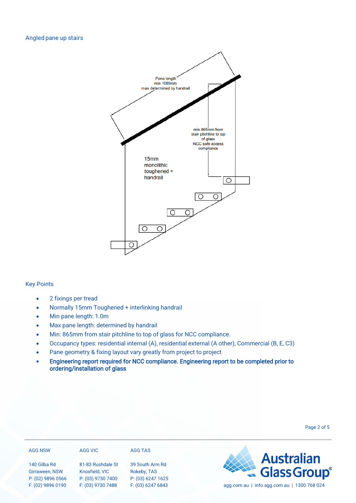

## Key Points

- 2 fixings per tread
- Normally 15mm Toughened + interlinking handrail
- Min pane length: 1.0m
- Max pane length: determined by handrail
- Min: 865mm from stair pitchline to top of glass for NCC compliance.
- Occupancy types: residential internal (A), residential external (A other), Commercial (B, E, C3)
- Pane geometry & fixing layout vary greatly from project to project
- Engineering report required for NCC compliance. Engineering report to be completed prior to ordering/installation of glass

| <b>AGG NSW</b>    | AGG VIC           | <b>AGG TAS</b>    |                                             |
|-------------------|-------------------|-------------------|---------------------------------------------|
| 140 Gilba Rd      | 81-83 Rushdale St | 39 South Arm Rd   | <b>Australian</b><br>Glass Group®           |
| Girraween, NSW    | Knoxfield, VIC    | Rokeby, TAS       |                                             |
| P: (02) 9896 0566 | P: (03) 9730 7400 | P: (03) 6247 1625 | agg.com.au   info.agg.com.au   1300 768 024 |
| F: (02) 9896 0190 | F: (03) 9730 7488 | F: (03) 6247 6843 |                                             |

Page 2 of 5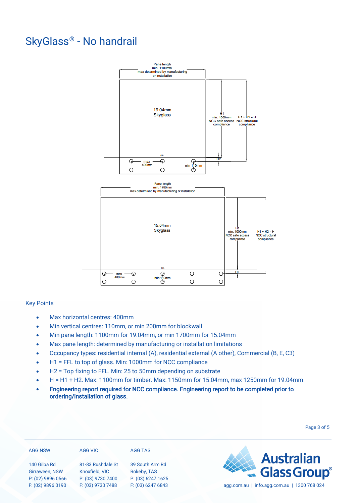## SkyGlass® - No handrail



## Key Points

- Max horizontal centres: 400mm
- Min vertical centres: 110mm, or min 200mm for blockwall
- Min pane length: 1100mm for 19.04mm, or min 1700mm for 15.04mm
- Max pane length: determined by manufacturing or installation limitations
- Occupancy types: residential internal (A), residential external (A other), Commercial (B, E, C3)
- H1 = FFL to top of glass. Min: 1000mm for NCC compliance
- H2 = Top fixing to FFL. Min: 25 to 50mm depending on substrate
- H = H1 + H2. Max: 1100mm for timber. Max: 1150mm for 15.04mm, max 1250mm for 19.04mm.
- Engineering report required for NCC compliance. Engineering report to be completed prior to ordering/installation of glass.

| <b>AGG NSW</b>                      | AGG VIC                             | AGG TAS                          |                                                   |
|-------------------------------------|-------------------------------------|----------------------------------|---------------------------------------------------|
| 140 Gilba Rd                        | 81-83 Rushdale St                   | 39 South Arm Rd                  | <b>Example 3 Australian</b><br><b>Glass Group</b> |
| Girraween, NSW<br>P: (02) 9896 0566 | Knoxfield, VIC<br>P: (03) 9730 7400 | Rokeby, TAS<br>P: (03) 6247 1625 |                                                   |
| F: (02) 9896 0190                   | F: (03) 9730 7488                   | F: (03) 6247 6843                | agg.com.au   info.agg.com.au   1300 768 024       |

Page 3 of 5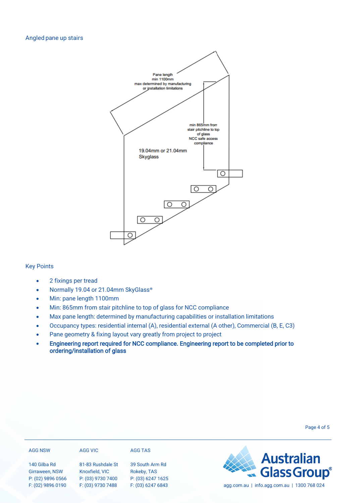

### Key Points

- 2 fixings per tread
- Normally 19.04 or 21.04mm SkyGlass®
- Min: pane length 1100mm
- Min: 865mm from stair pitchline to top of glass for NCC compliance
- Max pane length: determined by manufacturing capabilities or installation limitations
- Occupancy types: residential internal (A), residential external (A other), Commercial (B, E, C3)
- Pane geometry & fixing layout vary greatly from project to project
- Engineering report required for NCC compliance. Engineering report to be completed prior to ordering/installation of glass

| <b>AGG NSW</b>                      | AGG VIC                             | AGG TAS                          |                                             |
|-------------------------------------|-------------------------------------|----------------------------------|---------------------------------------------|
| 140 Gilba Rd                        | 81-83 Rushdale St                   | 39 South Arm Rd                  | <b>Example 3 Australian</b><br>Glass Group® |
| Girraween, NSW<br>P: (02) 9896 0566 | Knoxfield, VIC<br>P: (03) 9730 7400 | Rokeby, TAS<br>P: (03) 6247 1625 |                                             |
| F: (02) 9896 0190                   | F: (03) 9730 7488                   | F: (03) 6247 6843                | agg.com.au   info.agg.com.au   1300 768 024 |

Page 4 of 5